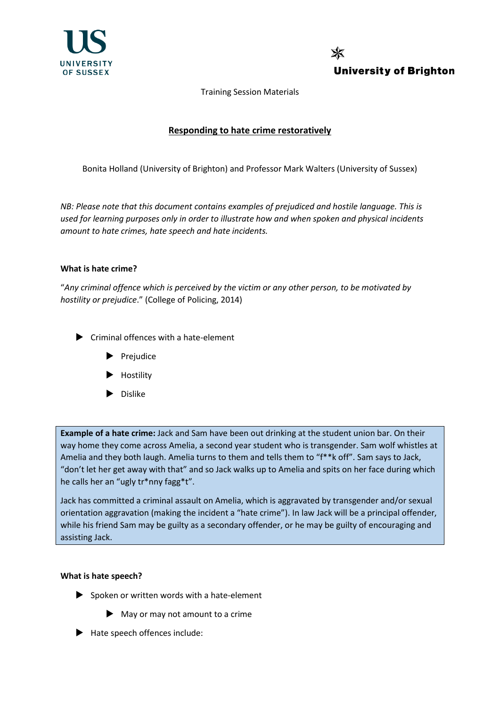



Training Session Materials

#### **Responding to hate crime restoratively**

Bonita Holland (University of Brighton) and Professor Mark Walters (University of Sussex)

*NB: Please note that this document contains examples of prejudiced and hostile language. This is used for learning purposes only in order to illustrate how and when spoken and physical incidents amount to hate crimes, hate speech and hate incidents.* 

#### **What is hate crime?**

"*Any criminal offence which is perceived by the victim or any other person, to be motivated by hostility or prejudice*." (College of Policing, 2014)

- $\blacktriangleright$  Criminal offences with a hate-element
	- Prejudice
	- Hostility
	- $\blacktriangleright$  Dislike

**Example of a hate crime:** Jack and Sam have been out drinking at the student union bar. On their way home they come across Amelia, a second year student who is transgender. Sam wolf whistles at Amelia and they both laugh. Amelia turns to them and tells them to "f\*\*k off". Sam says to Jack, "don't let her get away with that" and so Jack walks up to Amelia and spits on her face during which he calls her an "ugly tr\*nny fagg\*t".

Jack has committed a criminal assault on Amelia, which is aggravated by transgender and/or sexual orientation aggravation (making the incident a "hate crime"). In law Jack will be a principal offender, while his friend Sam may be guilty as a secondary offender, or he may be guilty of encouraging and assisting Jack.

#### **What is hate speech?**

- $\triangleright$  Spoken or written words with a hate-element
	- May or may not amount to a crime
- Hate speech offences include: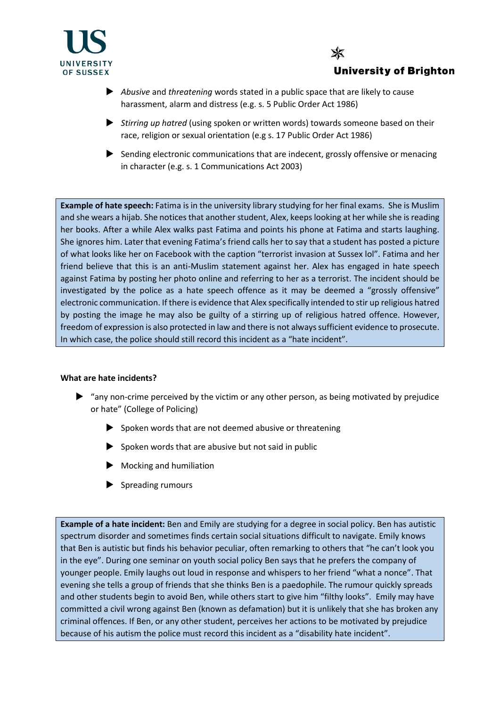



- *Abusive* and *threatening* words stated in a public space that are likely to cause harassment, alarm and distress (e.g. s. 5 Public Order Act 1986)
- *Stirring up hatred* (using spoken or written words) towards someone based on their race, religion or sexual orientation (e.g s. 17 Public Order Act 1986)
- Sending electronic communications that are indecent, grossly offensive or menacing in character (e.g. s. 1 Communications Act 2003)

**Example of hate speech:** Fatima is in the university library studying for her final exams. She is Muslim and she wears a hijab. She notices that another student, Alex, keeps looking at her while she is reading her books. After a while Alex walks past Fatima and points his phone at Fatima and starts laughing. She ignores him. Later that evening Fatima's friend calls her to say that a student has posted a picture of what looks like her on Facebook with the caption "terrorist invasion at Sussex lol". Fatima and her friend believe that this is an anti-Muslim statement against her. Alex has engaged in hate speech against Fatima by posting her photo online and referring to her as a terrorist. The incident should be investigated by the police as a hate speech offence as it may be deemed a "grossly offensive" electronic communication. If there is evidence that Alex specifically intended to stir up religious hatred by posting the image he may also be guilty of a stirring up of religious hatred offence. However, freedom of expression is also protected in law and there is not always sufficient evidence to prosecute. In which case, the police should still record this incident as a "hate incident".

#### **What are hate incidents?**

- $\blacktriangleright$  "any non-crime perceived by the victim or any other person, as being motivated by prejudice or hate" (College of Policing)
	- $\blacktriangleright$  Spoken words that are not deemed abusive or threatening
	- $\blacktriangleright$  Spoken words that are abusive but not said in public
	- Mocking and humiliation
	- $\blacktriangleright$  Spreading rumours

**Example of a hate incident:** Ben and Emily are studying for a degree in social policy. Ben has autistic spectrum disorder and sometimes finds certain social situations difficult to navigate. Emily knows that Ben is autistic but finds his behavior peculiar, often remarking to others that "he can't look you in the eye". During one seminar on youth social policy Ben says that he prefers the company of younger people. Emily laughs out loud in response and whispers to her friend "what a nonce". That evening she tells a group of friends that she thinks Ben is a paedophile. The rumour quickly spreads and other students begin to avoid Ben, while others start to give him "filthy looks". Emily may have committed a civil wrong against Ben (known as defamation) but it is unlikely that she has broken any criminal offences. If Ben, or any other student, perceives her actions to be motivated by prejudice because of his autism the police must record this incident as a "disability hate incident".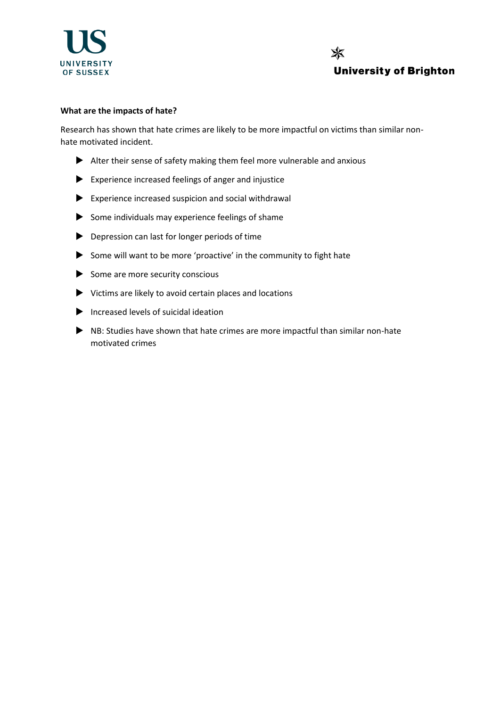



#### **What are the impacts of hate?**

Research has shown that hate crimes are likely to be more impactful on victims than similar nonhate motivated incident.

- Alter their sense of safety making them feel more vulnerable and anxious
- Experience increased feelings of anger and injustice
- $\blacktriangleright$  Experience increased suspicion and social withdrawal
- $\triangleright$  Some individuals may experience feelings of shame
- ▶ Depression can last for longer periods of time
- Some will want to be more 'proactive' in the community to fight hate
- $\blacktriangleright$  Some are more security conscious
- $\blacktriangleright$  Victims are likely to avoid certain places and locations
- $\blacktriangleright$  Increased levels of suicidal ideation
- NB: Studies have shown that hate crimes are more impactful than similar non-hate motivated crimes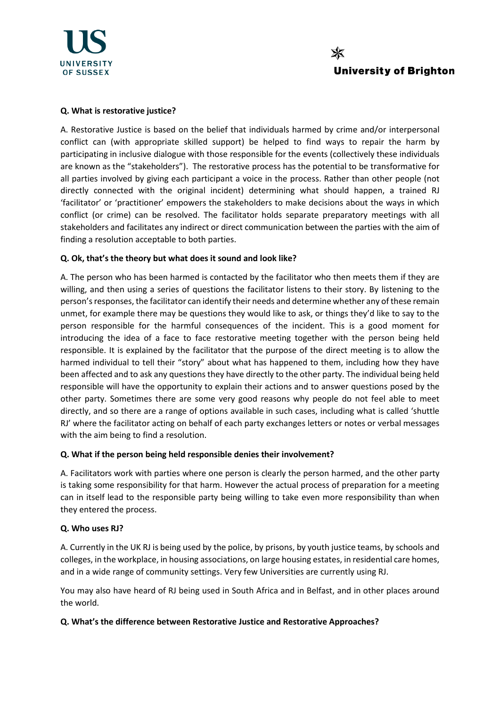

#### **Q. What is restorative justice?**

A. Restorative Justice is based on the belief that individuals harmed by crime and/or interpersonal conflict can (with appropriate skilled support) be helped to find ways to repair the harm by participating in inclusive dialogue with those responsible for the events (collectively these individuals are known as the "stakeholders"). The restorative process has the potential to be transformative for all parties involved by giving each participant a voice in the process. Rather than other people (not directly connected with the original incident) determining what should happen, a trained RJ 'facilitator' or 'practitioner' empowers the stakeholders to make decisions about the ways in which conflict (or crime) can be resolved. The facilitator holds separate preparatory meetings with all stakeholders and facilitates any indirect or direct communication between the parties with the aim of finding a resolution acceptable to both parties.

#### **Q. Ok, that's the theory but what does it sound and look like?**

A. The person who has been harmed is contacted by the facilitator who then meets them if they are willing, and then using a series of questions the facilitator listens to their story. By listening to the person's responses, the facilitator can identify their needs and determine whether any of these remain unmet, for example there may be questions they would like to ask, or things they'd like to say to the person responsible for the harmful consequences of the incident. This is a good moment for introducing the idea of a face to face restorative meeting together with the person being held responsible. It is explained by the facilitator that the purpose of the direct meeting is to allow the harmed individual to tell their "story" about what has happened to them, including how they have been affected and to ask any questions they have directly to the other party. The individual being held responsible will have the opportunity to explain their actions and to answer questions posed by the other party. Sometimes there are some very good reasons why people do not feel able to meet directly, and so there are a range of options available in such cases, including what is called 'shuttle RJ' where the facilitator acting on behalf of each party exchanges letters or notes or verbal messages with the aim being to find a resolution.

#### **Q. What if the person being held responsible denies their involvement?**

A. Facilitators work with parties where one person is clearly the person harmed, and the other party is taking some responsibility for that harm. However the actual process of preparation for a meeting can in itself lead to the responsible party being willing to take even more responsibility than when they entered the process.

#### **Q. Who uses RJ?**

A. Currently in the UK RJ is being used by the police, by prisons, by youth justice teams, by schools and colleges, in the workplace, in housing associations, on large housing estates, in residential care homes, and in a wide range of community settings. Very few Universities are currently using RJ.

You may also have heard of RJ being used in South Africa and in Belfast, and in other places around the world.

#### **Q. What's the difference between Restorative Justice and Restorative Approaches?**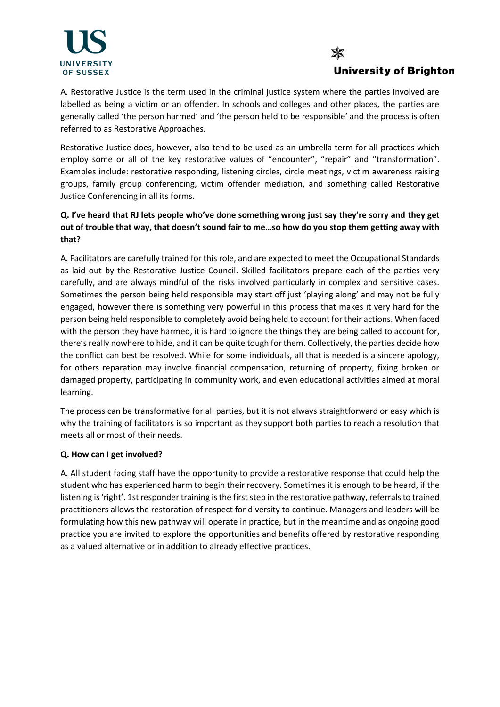### UNIVERSITY OF SUSSEX

# **University of Brighton**

A. Restorative Justice is the term used in the criminal justice system where the parties involved are labelled as being a victim or an offender. In schools and colleges and other places, the parties are generally called 'the person harmed' and 'the person held to be responsible' and the process is often referred to as Restorative Approaches.

Restorative Justice does, however, also tend to be used as an umbrella term for all practices which employ some or all of the key restorative values of "encounter", "repair" and "transformation". Examples include: restorative responding, listening circles, circle meetings, victim awareness raising groups, family group conferencing, victim offender mediation, and something called Restorative Justice Conferencing in all its forms.

#### **Q. I've heard that RJ lets people who've done something wrong just say they're sorry and they get out of trouble that way, that doesn't sound fair to me…so how do you stop them getting away with that?**

A. Facilitators are carefully trained for this role, and are expected to meet the Occupational Standards as laid out by the Restorative Justice Council. Skilled facilitators prepare each of the parties very carefully, and are always mindful of the risks involved particularly in complex and sensitive cases. Sometimes the person being held responsible may start off just 'playing along' and may not be fully engaged, however there is something very powerful in this process that makes it very hard for the person being held responsible to completely avoid being held to account for their actions. When faced with the person they have harmed, it is hard to ignore the things they are being called to account for, there's really nowhere to hide, and it can be quite tough for them. Collectively, the parties decide how the conflict can best be resolved. While for some individuals, all that is needed is a sincere apology, for others reparation may involve financial compensation, returning of property, fixing broken or damaged property, participating in community work, and even educational activities aimed at moral learning.

The process can be transformative for all parties, but it is not always straightforward or easy which is why the training of facilitators is so important as they support both parties to reach a resolution that meets all or most of their needs.

#### **Q. How can I get involved?**

A. All student facing staff have the opportunity to provide a restorative response that could help the student who has experienced harm to begin their recovery. Sometimes it is enough to be heard, if the listening is 'right'. 1st responder training is the first step in the restorative pathway, referrals to trained practitioners allows the restoration of respect for diversity to continue. Managers and leaders will be formulating how this new pathway will operate in practice, but in the meantime and as ongoing good practice you are invited to explore the opportunities and benefits offered by restorative responding as a valued alternative or in addition to already effective practices.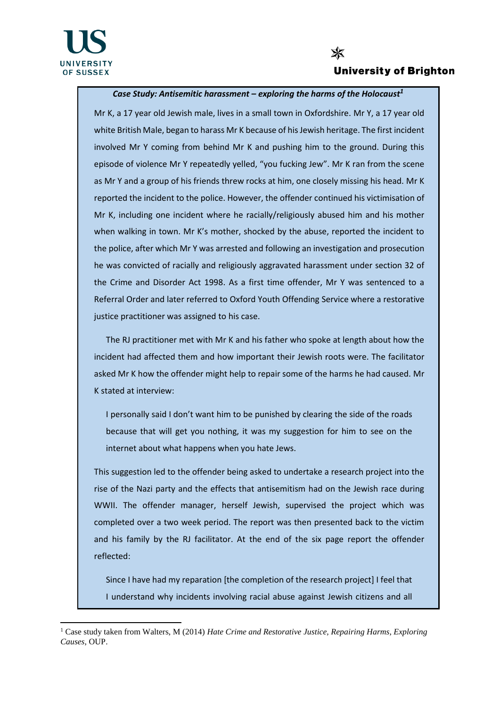# **University of Brighton**

*Case Study: Antisemitic harassment – exploring the harms of the Holocaust<sup>1</sup>* Mr K, a 17 year old Jewish male, lives in a small town in Oxfordshire. Mr Y, a 17 year old white British Male, began to harass Mr K because of his Jewish heritage. The first incident involved Mr Y coming from behind Mr K and pushing him to the ground. During this episode of violence Mr Y repeatedly yelled, "you fucking Jew". Mr K ran from the scene as Mr Y and a group of his friends threw rocks at him, one closely missing his head. Mr K reported the incident to the police. However, the offender continued his victimisation of Mr K, including one incident where he racially/religiously abused him and his mother when walking in town. Mr K's mother, shocked by the abuse, reported the incident to the police, after which Mr Y was arrested and following an investigation and prosecution he was convicted of racially and religiously aggravated harassment under section 32 of the Crime and Disorder Act 1998. As a first time offender, Mr Y was sentenced to a Referral Order and later referred to Oxford Youth Offending Service where a restorative justice practitioner was assigned to his case.

The RJ practitioner met with Mr K and his father who spoke at length about how the incident had affected them and how important their Jewish roots were. The facilitator asked Mr K how the offender might help to repair some of the harms he had caused. Mr K stated at interview:

I personally said I don't want him to be punished by clearing the side of the roads because that will get you nothing, it was my suggestion for him to see on the internet about what happens when you hate Jews.

This suggestion led to the offender being asked to undertake a research project into the rise of the Nazi party and the effects that antisemitism had on the Jewish race during WWII. The offender manager, herself Jewish, supervised the project which was completed over a two week period. The report was then presented back to the victim and his family by the RJ facilitator. At the end of the six page report the offender reflected:

Since I have had my reparation [the completion of the research project] I feel that I understand why incidents involving racial abuse against Jewish citizens and all

**<sup>.</sup>** <sup>1</sup> Case study taken from Walters, M (2014) *Hate Crime and Restorative Justice, Repairing Harms, Exploring Causes*, OUP.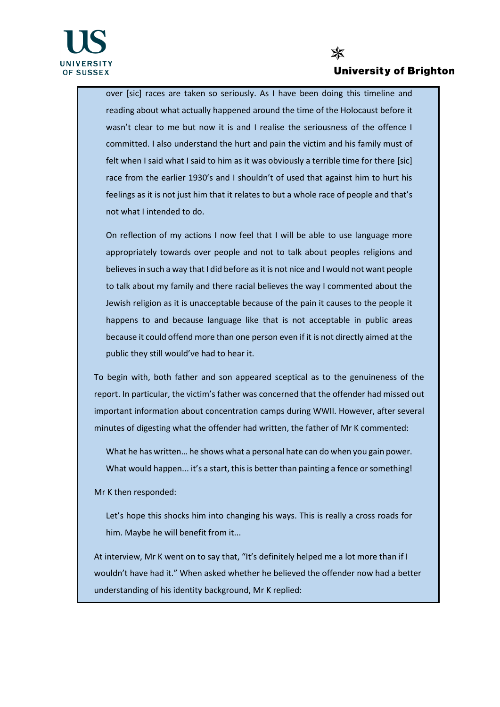

### **University of Brighton**

over [sic] races are taken so seriously. As I have been doing this timeline and reading about what actually happened around the time of the Holocaust before it wasn't clear to me but now it is and I realise the seriousness of the offence I committed. I also understand the hurt and pain the victim and his family must of felt when I said what I said to him as it was obviously a terrible time for there [sic] race from the earlier 1930's and I shouldn't of used that against him to hurt his feelings as it is not just him that it relates to but a whole race of people and that's not what I intended to do.

On reflection of my actions I now feel that I will be able to use language more appropriately towards over people and not to talk about peoples religions and believes in such a way that I did before as it is not nice and I would not want people to talk about my family and there racial believes the way I commented about the Jewish religion as it is unacceptable because of the pain it causes to the people it happens to and because language like that is not acceptable in public areas because it could offend more than one person even if it is not directly aimed at the public they still would've had to hear it.

To begin with, both father and son appeared sceptical as to the genuineness of the report. In particular, the victim's father was concerned that the offender had missed out important information about concentration camps during WWII. However, after several minutes of digesting what the offender had written, the father of Mr K commented:

What he has written… he shows what a personal hate can do when you gain power. What would happen... it's a start, this is better than painting a fence or something!

Mr K then responded:

Let's hope this shocks him into changing his ways. This is really a cross roads for him. Maybe he will benefit from it...

At interview, Mr K went on to say that, "It's definitely helped me a lot more than if I wouldn't have had it." When asked whether he believed the offender now had a better understanding of his identity background, Mr K replied: